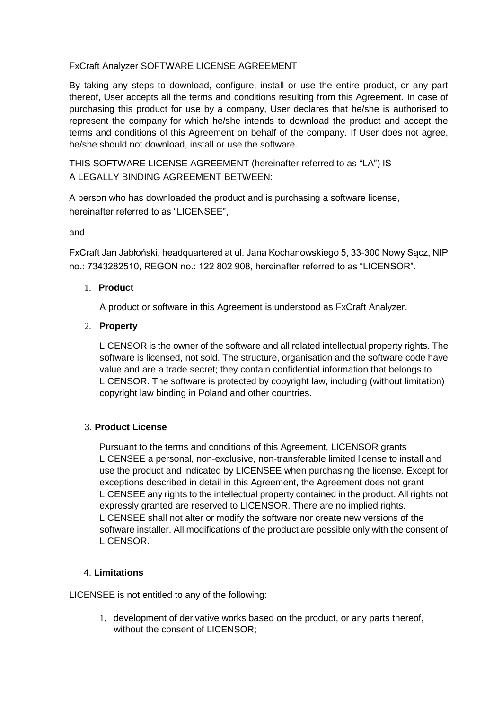# FxCraft Analyzer SOFTWARE LICENSE AGREEMENT

By taking any steps to download, configure, install or use the entire product, or any part thereof, User accepts all the terms and conditions resulting from this Agreement. In case of purchasing this product for use by a company, User declares that he/she is authorised to represent the company for which he/she intends to download the product and accept the terms and conditions of this Agreement on behalf of the company. If User does not agree, he/she should not download, install or use the software.

THIS SOFTWARE LICENSE AGREEMENT (hereinafter referred to as "LA") IS A LEGALLY BINDING AGREEMENT BETWEEN:

A person who has downloaded the product and is purchasing a software license, hereinafter referred to as "LICENSEE",

and

FxCraft Jan Jabłoński, headquartered at ul. Jana Kochanowskiego 5, 33-300 Nowy Sącz, NIP no.: 7343282510, REGON no.: 122 802 908, hereinafter referred to as "LICENSOR".

# 1. **Product**

A product or software in this Agreement is understood as FxCraft Analyzer.

## 2. **Property**

LICENSOR is the owner of the software and all related intellectual property rights. The software is licensed, not sold. The structure, organisation and the software code have value and are a trade secret; they contain confidential information that belongs to LICENSOR. The software is protected by copyright law, including (without limitation) copyright law binding in Poland and other countries.

## 3. **Product License**

Pursuant to the terms and conditions of this Agreement, LICENSOR grants LICENSEE a personal, non-exclusive, non-transferable limited license to install and use the product and indicated by LICENSEE when purchasing the license. Except for exceptions described in detail in this Agreement, the Agreement does not grant LICENSEE any rights to the intellectual property contained in the product. All rights not expressly granted are reserved to LICENSOR. There are no implied rights. LICENSEE shall not alter or modify the software nor create new versions of the software installer. All modifications of the product are possible only with the consent of LICENSOR.

# 4. **Limitations**

LICENSEE is not entitled to any of the following:

1. development of derivative works based on the product, or any parts thereof, without the consent of LICENSOR;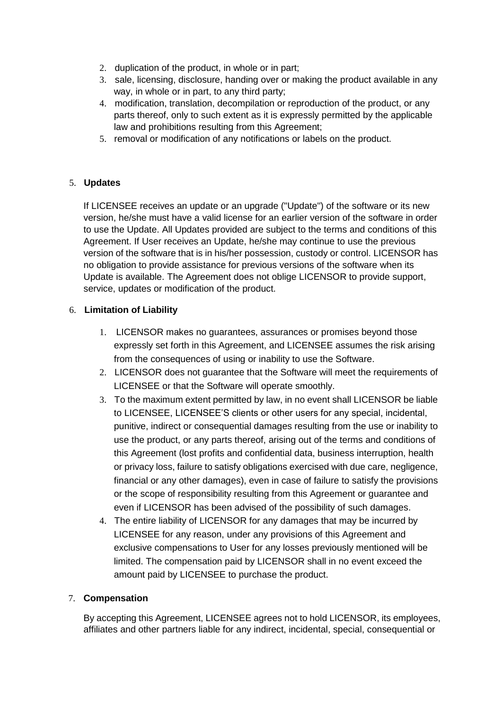- 2. duplication of the product, in whole or in part;
- 3. sale, licensing, disclosure, handing over or making the product available in any way, in whole or in part, to any third party;
- 4. modification, translation, decompilation or reproduction of the product, or any parts thereof, only to such extent as it is expressly permitted by the applicable law and prohibitions resulting from this Agreement;
- 5. removal or modification of any notifications or labels on the product.

# 5. **Updates**

If LICENSEE receives an update or an upgrade ("Update") of the software or its new version, he/she must have a valid license for an earlier version of the software in order to use the Update. All Updates provided are subject to the terms and conditions of this Agreement. If User receives an Update, he/she may continue to use the previous version of the software that is in his/her possession, custody or control. LICENSOR has no obligation to provide assistance for previous versions of the software when its Update is available. The Agreement does not oblige LICENSOR to provide support, service, updates or modification of the product.

# 6. **Limitation of Liability**

- 1. LICENSOR makes no guarantees, assurances or promises beyond those expressly set forth in this Agreement, and LICENSEE assumes the risk arising from the consequences of using or inability to use the Software.
- 2. LICENSOR does not guarantee that the Software will meet the requirements of LICENSEE or that the Software will operate smoothly.
- 3. To the maximum extent permitted by law, in no event shall LICENSOR be liable to LICENSEE, LICENSEE'S clients or other users for any special, incidental, punitive, indirect or consequential damages resulting from the use or inability to use the product, or any parts thereof, arising out of the terms and conditions of this Agreement (lost profits and confidential data, business interruption, health or privacy loss, failure to satisfy obligations exercised with due care, negligence, financial or any other damages), even in case of failure to satisfy the provisions or the scope of responsibility resulting from this Agreement or guarantee and even if LICENSOR has been advised of the possibility of such damages.
- 4. The entire liability of LICENSOR for any damages that may be incurred by LICENSEE for any reason, under any provisions of this Agreement and exclusive compensations to User for any losses previously mentioned will be limited. The compensation paid by LICENSOR shall in no event exceed the amount paid by LICENSEE to purchase the product.

## 7. **Compensation**

By accepting this Agreement, LICENSEE agrees not to hold LICENSOR, its employees, affiliates and other partners liable for any indirect, incidental, special, consequential or